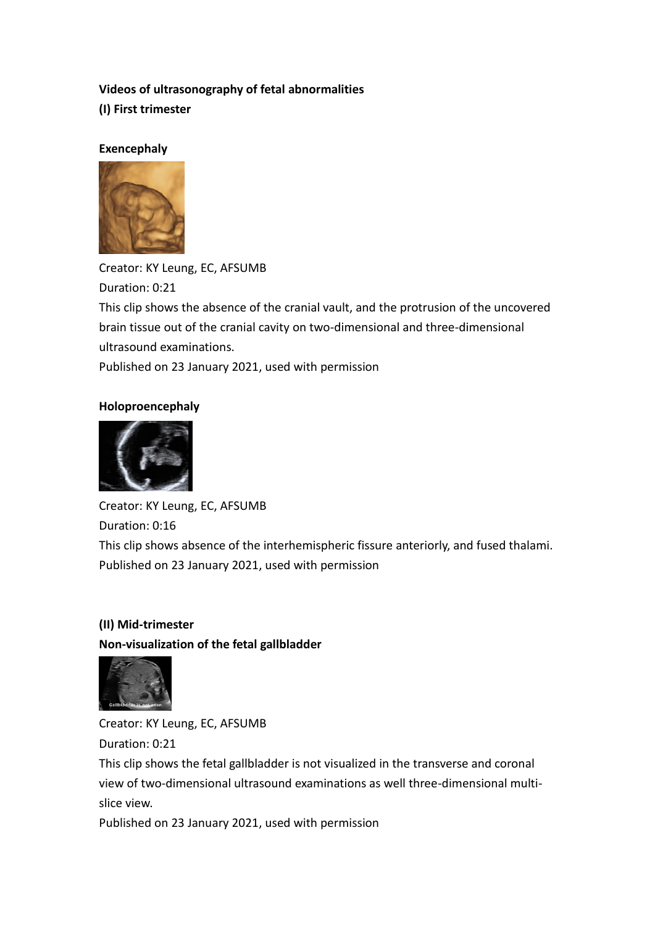## **Videos of ultrasonography of fetal abnormalities**

**(I) First trimester**

#### **Exencephaly**



Creator: KY Leung, EC, AFSUMB Duration: 0:21 This clip shows the absence of the cranial vault, and the protrusion of the uncovered brain tissue out of the cranial cavity on two-dimensional and three-dimensional ultrasound examinations.

Published on 23 January 2021, used with permission

#### **Holoproencephaly**



Creator: KY Leung, EC, AFSUMB Duration: 0:16 This clip shows absence of the interhemispheric fissure anteriorly, and fused thalami. Published on 23 January 2021, used with permission

# **(II) Mid-trimester Non-visualization of the fetal gallbladder**



Creator: KY Leung, EC, AFSUMB Duration: 0:21 This clip shows the fetal gallbladder is not visualized in the transverse and coronal view of two-dimensional ultrasound examinations as well three-dimensional multislice view.

Published on 23 January 2021, used with permission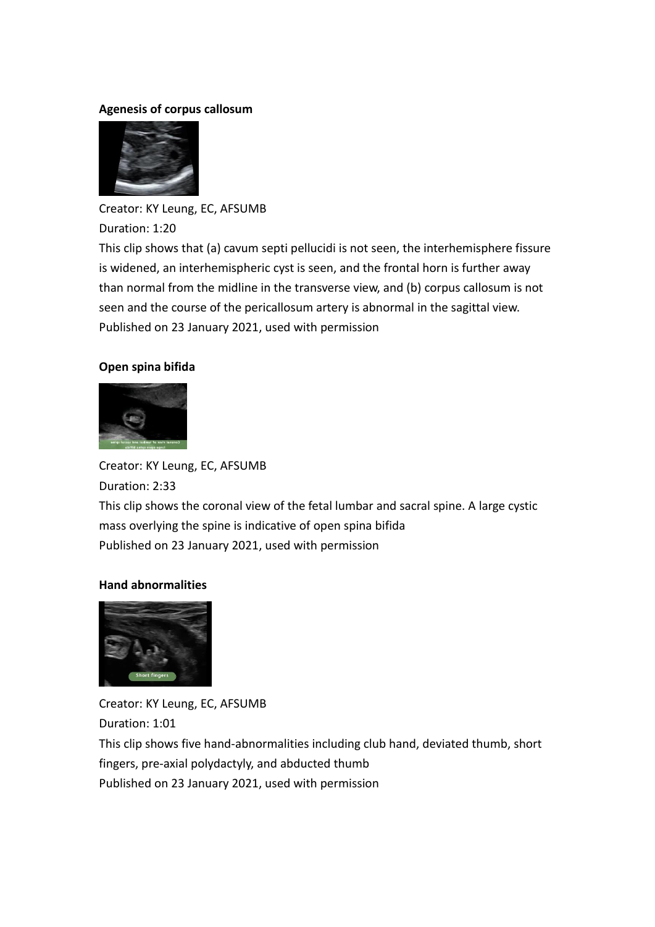#### **Agenesis of corpus callosum**



Creator: KY Leung, EC, AFSUMB Duration: 1:20 This clip shows that (a) cavum septi pellucidi is not seen, the interhemisphere fissure is widened, an interhemispheric cyst is seen, and the frontal horn is further away than normal from the midline in the transverse view, and (b) corpus callosum is not seen and the course of the pericallosum artery is abnormal in the sagittal view. Published on 23 January 2021, used with permission

## **Open spina bifida**



Creator: KY Leung, EC, AFSUMB Duration: 2:33 This clip shows the coronal view of the fetal lumbar and sacral spine. A large cystic mass overlying the spine is indicative of open spina bifida Published on 23 January 2021, used with permission

## **Hand abnormalities**



Creator: KY Leung, EC, AFSUMB Duration: 1:01 This clip shows five hand-abnormalities including club hand, deviated thumb, short fingers, pre-axial polydactyly, and abducted thumb Published on 23 January 2021, used with permission